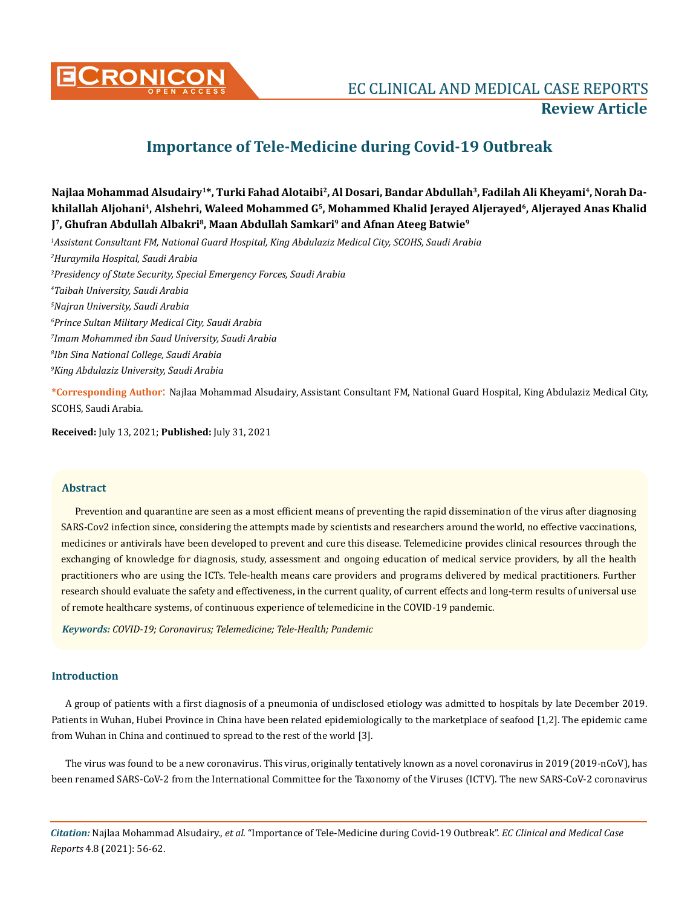

# **Importance of Tele-Medicine during Covid-19 Outbreak**

**Najlaa Mohammad Alsudairy1\*, Turki Fahad Alotaibi2, Al Dosari, Bandar Abdullah3, Fadilah Ali Kheyami4, Norah Dakhilallah Aljohani4, Alshehri, Waleed Mohammed G5, Mohammed Khalid Jerayed Aljerayed6, Aljerayed Anas Khalid J7, Ghufran Abdullah Albakri8, Maan Abdullah Samkari9 and Afnan Ateeg Batwie9**

*1 Assistant Consultant FM, National Guard Hospital, King Abdulaziz Medical City, SCOHS, Saudi Arabia*

*2 Huraymila Hospital, Saudi Arabia*

*3 Presidency of State Security, Special Emergency Forces, Saudi Arabia*

*4 Taibah University, Saudi Arabia*

*5 Najran University, Saudi Arabia*

*6 Prince Sultan Military Medical City, Saudi Arabia*

*7 Imam Mohammed ibn Saud University, Saudi Arabia*

*8 Ibn Sina National College, Saudi Arabia*

*9 King Abdulaziz University, Saudi Arabia*

**\*Corresponding Author**: Najlaa Mohammad Alsudairy, Assistant Consultant FM, National Guard Hospital, King Abdulaziz Medical City, SCOHS, Saudi Arabia.

**Received:** July 13, 2021; **Published:** July 31, 2021

### **Abstract**

Prevention and quarantine are seen as a most efficient means of preventing the rapid dissemination of the virus after diagnosing SARS-Cov2 infection since, considering the attempts made by scientists and researchers around the world, no effective vaccinations, medicines or antivirals have been developed to prevent and cure this disease. Telemedicine provides clinical resources through the exchanging of knowledge for diagnosis, study, assessment and ongoing education of medical service providers, by all the health practitioners who are using the ICTs. Tele-health means care providers and programs delivered by medical practitioners. Further research should evaluate the safety and effectiveness, in the current quality, of current effects and long-term results of universal use of remote healthcare systems, of continuous experience of telemedicine in the COVID-19 pandemic.

*Keywords: COVID-19; Coronavirus; Telemedicine; Tele-Health; Pandemic* 

# **Introduction**

A group of patients with a first diagnosis of a pneumonia of undisclosed etiology was admitted to hospitals by late December 2019. Patients in Wuhan, Hubei Province in China have been related epidemiologically to the marketplace of seafood [1,2]. The epidemic came from Wuhan in China and continued to spread to the rest of the world [3].

The virus was found to be a new coronavirus. This virus, originally tentatively known as a novel coronavirus in 2019 (2019-nCoV), has been renamed SARS-CoV-2 from the International Committee for the Taxonomy of the Viruses (ICTV). The new SARS-CoV-2 coronavirus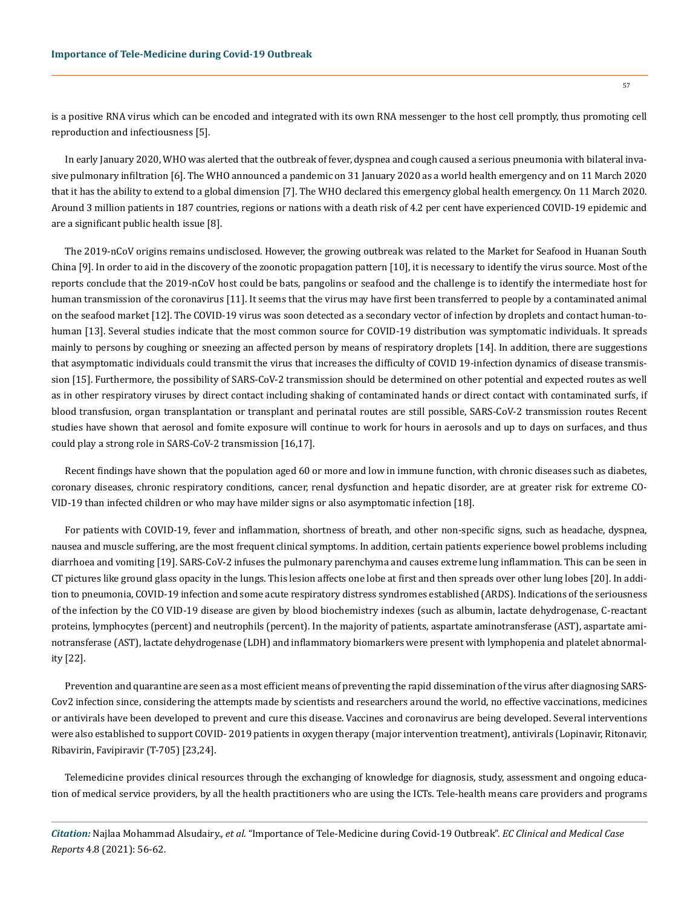is a positive RNA virus which can be encoded and integrated with its own RNA messenger to the host cell promptly, thus promoting cell reproduction and infectiousness [5].

In early January 2020, WHO was alerted that the outbreak of fever, dyspnea and cough caused a serious pneumonia with bilateral invasive pulmonary infiltration [6]. The WHO announced a pandemic on 31 January 2020 as a world health emergency and on 11 March 2020 that it has the ability to extend to a global dimension [7]. The WHO declared this emergency global health emergency. On 11 March 2020. Around 3 million patients in 187 countries, regions or nations with a death risk of 4.2 per cent have experienced COVID-19 epidemic and are a significant public health issue [8].

The 2019-nCoV origins remains undisclosed. However, the growing outbreak was related to the Market for Seafood in Huanan South China [9]. In order to aid in the discovery of the zoonotic propagation pattern [10], it is necessary to identify the virus source. Most of the reports conclude that the 2019-nCoV host could be bats, pangolins or seafood and the challenge is to identify the intermediate host for human transmission of the coronavirus [11]. It seems that the virus may have first been transferred to people by a contaminated animal on the seafood market [12]. The COVID-19 virus was soon detected as a secondary vector of infection by droplets and contact human-tohuman [13]. Several studies indicate that the most common source for COVID-19 distribution was symptomatic individuals. It spreads mainly to persons by coughing or sneezing an affected person by means of respiratory droplets [14]. In addition, there are suggestions that asymptomatic individuals could transmit the virus that increases the difficulty of COVID 19-infection dynamics of disease transmission [15]. Furthermore, the possibility of SARS-CoV-2 transmission should be determined on other potential and expected routes as well as in other respiratory viruses by direct contact including shaking of contaminated hands or direct contact with contaminated surfs, if blood transfusion, organ transplantation or transplant and perinatal routes are still possible, SARS-CoV-2 transmission routes Recent studies have shown that aerosol and fomite exposure will continue to work for hours in aerosols and up to days on surfaces, and thus could play a strong role in SARS-CoV-2 transmission [16,17].

Recent findings have shown that the population aged 60 or more and low in immune function, with chronic diseases such as diabetes, coronary diseases, chronic respiratory conditions, cancer, renal dysfunction and hepatic disorder, are at greater risk for extreme CO-VID-19 than infected children or who may have milder signs or also asymptomatic infection [18].

For patients with COVID-19, fever and inflammation, shortness of breath, and other non-specific signs, such as headache, dyspnea, nausea and muscle suffering, are the most frequent clinical symptoms. In addition, certain patients experience bowel problems including diarrhoea and vomiting [19]. SARS-CoV-2 infuses the pulmonary parenchyma and causes extreme lung inflammation. This can be seen in CT pictures like ground glass opacity in the lungs. This lesion affects one lobe at first and then spreads over other lung lobes [20]. In addition to pneumonia, COVID-19 infection and some acute respiratory distress syndromes established (ARDS). Indications of the seriousness of the infection by the CO VID-19 disease are given by blood biochemistry indexes (such as albumin, lactate dehydrogenase, C-reactant proteins, lymphocytes (percent) and neutrophils (percent). In the majority of patients, aspartate aminotransferase (AST), aspartate aminotransferase (AST), lactate dehydrogenase (LDH) and inflammatory biomarkers were present with lymphopenia and platelet abnormality [22].

Prevention and quarantine are seen as a most efficient means of preventing the rapid dissemination of the virus after diagnosing SARS-Cov2 infection since, considering the attempts made by scientists and researchers around the world, no effective vaccinations, medicines or antivirals have been developed to prevent and cure this disease. Vaccines and coronavirus are being developed. Several interventions were also established to support COVID- 2019 patients in oxygen therapy (major intervention treatment), antivirals (Lopinavir, Ritonavir, Ribavirin, Favipiravir (T-705) [23,24].

Telemedicine provides clinical resources through the exchanging of knowledge for diagnosis, study, assessment and ongoing education of medical service providers, by all the health practitioners who are using the ICTs. Tele-health means care providers and programs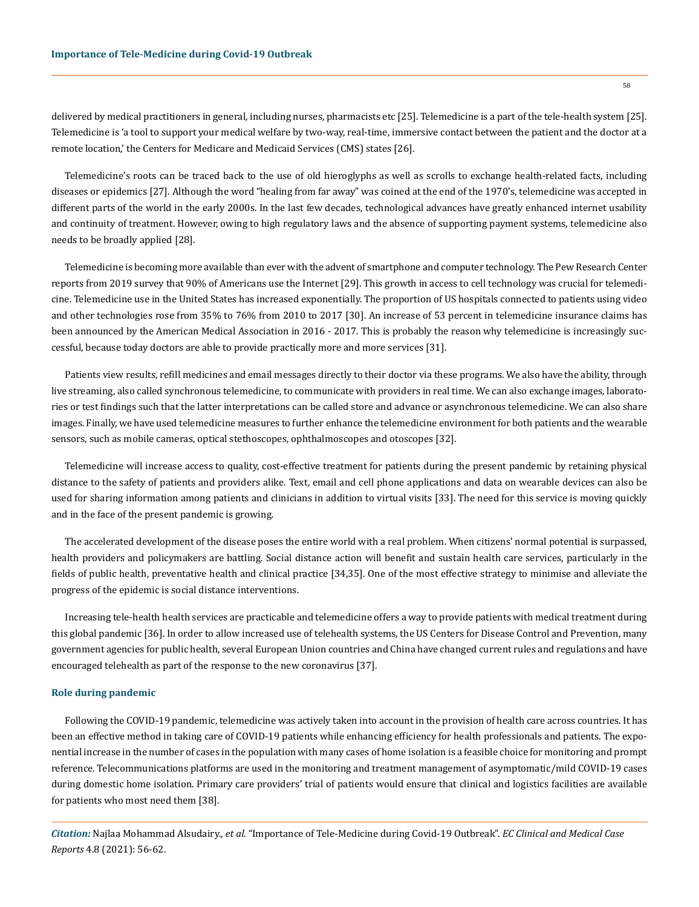delivered by medical practitioners in general, including nurses, pharmacists etc [25]. Telemedicine is a part of the tele-health system [25]. Telemedicine is 'a tool to support your medical welfare by two-way, real-time, immersive contact between the patient and the doctor at a remote location,' the Centers for Medicare and Medicaid Services (CMS) states [26].

Telemedicine's roots can be traced back to the use of old hieroglyphs as well as scrolls to exchange health-related facts, including diseases or epidemics [27]. Although the word "healing from far away" was coined at the end of the 1970's, telemedicine was accepted in different parts of the world in the early 2000s. In the last few decades, technological advances have greatly enhanced internet usability and continuity of treatment. However, owing to high regulatory laws and the absence of supporting payment systems, telemedicine also needs to be broadly applied [28].

Telemedicine is becoming more available than ever with the advent of smartphone and computer technology. The Pew Research Center reports from 2019 survey that 90% of Americans use the Internet [29]. This growth in access to cell technology was crucial for telemedicine. Telemedicine use in the United States has increased exponentially. The proportion of US hospitals connected to patients using video and other technologies rose from 35% to 76% from 2010 to 2017 [30]. An increase of 53 percent in telemedicine insurance claims has been announced by the American Medical Association in 2016 - 2017. This is probably the reason why telemedicine is increasingly successful, because today doctors are able to provide practically more and more services [31].

Patients view results, refill medicines and email messages directly to their doctor via these programs. We also have the ability, through live streaming, also called synchronous telemedicine, to communicate with providers in real time. We can also exchange images, laboratories or test findings such that the latter interpretations can be called store and advance or asynchronous telemedicine. We can also share images. Finally, we have used telemedicine measures to further enhance the telemedicine environment for both patients and the wearable sensors, such as mobile cameras, optical stethoscopes, ophthalmoscopes and otoscopes [32].

Telemedicine will increase access to quality, cost-effective treatment for patients during the present pandemic by retaining physical distance to the safety of patients and providers alike. Text, email and cell phone applications and data on wearable devices can also be used for sharing information among patients and clinicians in addition to virtual visits [33]. The need for this service is moving quickly and in the face of the present pandemic is growing.

The accelerated development of the disease poses the entire world with a real problem. When citizens' normal potential is surpassed, health providers and policymakers are battling. Social distance action will benefit and sustain health care services, particularly in the fields of public health, preventative health and clinical practice [34,35]. One of the most effective strategy to minimise and alleviate the progress of the epidemic is social distance interventions.

Increasing tele-health health services are practicable and telemedicine offers a way to provide patients with medical treatment during this global pandemic [36]. In order to allow increased use of telehealth systems, the US Centers for Disease Control and Prevention, many government agencies for public health, several European Union countries and China have changed current rules and regulations and have encouraged telehealth as part of the response to the new coronavirus [37].

#### **Role during pandemic**

Following the COVID-19 pandemic, telemedicine was actively taken into account in the provision of health care across countries. It has been an effective method in taking care of COVID-19 patients while enhancing efficiency for health professionals and patients. The exponential increase in the number of cases in the population with many cases of home isolation is a feasible choice for monitoring and prompt reference. Telecommunications platforms are used in the monitoring and treatment management of asymptomatic/mild COVID-19 cases during domestic home isolation. Primary care providers' trial of patients would ensure that clinical and logistics facilities are available for patients who most need them [38].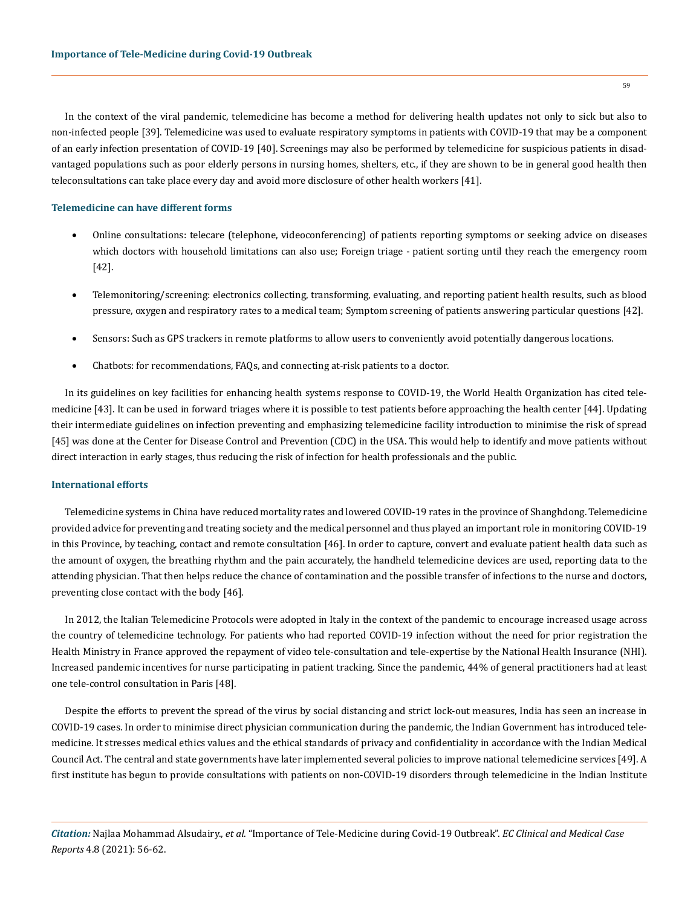In the context of the viral pandemic, telemedicine has become a method for delivering health updates not only to sick but also to non-infected people [39]. Telemedicine was used to evaluate respiratory symptoms in patients with COVID-19 that may be a component of an early infection presentation of COVID-19 [40]. Screenings may also be performed by telemedicine for suspicious patients in disadvantaged populations such as poor elderly persons in nursing homes, shelters, etc., if they are shown to be in general good health then teleconsultations can take place every day and avoid more disclosure of other health workers [41].

#### **Telemedicine can have different forms**

- Online consultations: telecare (telephone, videoconferencing) of patients reporting symptoms or seeking advice on diseases which doctors with household limitations can also use; Foreign triage - patient sorting until they reach the emergency room [42].
- Telemonitoring/screening: electronics collecting, transforming, evaluating, and reporting patient health results, such as blood pressure, oxygen and respiratory rates to a medical team; Symptom screening of patients answering particular questions [42].
- Sensors: Such as GPS trackers in remote platforms to allow users to conveniently avoid potentially dangerous locations.
- Chatbots: for recommendations, FAQs, and connecting at-risk patients to a doctor.

In its guidelines on key facilities for enhancing health systems response to COVID-19, the World Health Organization has cited telemedicine [43]. It can be used in forward triages where it is possible to test patients before approaching the health center [44]. Updating their intermediate guidelines on infection preventing and emphasizing telemedicine facility introduction to minimise the risk of spread [45] was done at the Center for Disease Control and Prevention (CDC) in the USA. This would help to identify and move patients without direct interaction in early stages, thus reducing the risk of infection for health professionals and the public.

#### **International efforts**

Telemedicine systems in China have reduced mortality rates and lowered COVID-19 rates in the province of Shanghdong. Telemedicine provided advice for preventing and treating society and the medical personnel and thus played an important role in monitoring COVID-19 in this Province, by teaching, contact and remote consultation [46]. In order to capture, convert and evaluate patient health data such as the amount of oxygen, the breathing rhythm and the pain accurately, the handheld telemedicine devices are used, reporting data to the attending physician. That then helps reduce the chance of contamination and the possible transfer of infections to the nurse and doctors, preventing close contact with the body [46].

In 2012, the Italian Telemedicine Protocols were adopted in Italy in the context of the pandemic to encourage increased usage across the country of telemedicine technology. For patients who had reported COVID-19 infection without the need for prior registration the Health Ministry in France approved the repayment of video tele-consultation and tele-expertise by the National Health Insurance (NHI). Increased pandemic incentives for nurse participating in patient tracking. Since the pandemic, 44% of general practitioners had at least one tele-control consultation in Paris [48].

Despite the efforts to prevent the spread of the virus by social distancing and strict lock-out measures, India has seen an increase in COVID-19 cases. In order to minimise direct physician communication during the pandemic, the Indian Government has introduced telemedicine. It stresses medical ethics values and the ethical standards of privacy and confidentiality in accordance with the Indian Medical Council Act. The central and state governments have later implemented several policies to improve national telemedicine services [49]. A first institute has begun to provide consultations with patients on non-COVID-19 disorders through telemedicine in the Indian Institute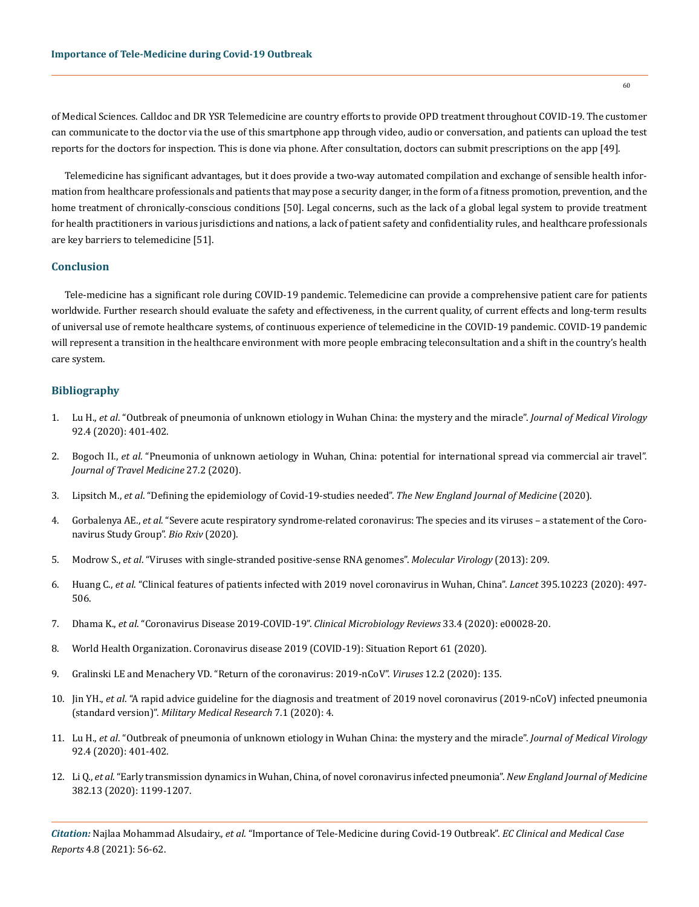of Medical Sciences. Calldoc and DR YSR Telemedicine are country efforts to provide OPD treatment throughout COVID-19. The customer can communicate to the doctor via the use of this smartphone app through video, audio or conversation, and patients can upload the test reports for the doctors for inspection. This is done via phone. After consultation, doctors can submit prescriptions on the app [49].

Telemedicine has significant advantages, but it does provide a two-way automated compilation and exchange of sensible health information from healthcare professionals and patients that may pose a security danger, in the form of a fitness promotion, prevention, and the home treatment of chronically-conscious conditions [50]. Legal concerns, such as the lack of a global legal system to provide treatment for health practitioners in various jurisdictions and nations, a lack of patient safety and confidentiality rules, and healthcare professionals are key barriers to telemedicine [51].

## **Conclusion**

Tele-medicine has a significant role during COVID-19 pandemic. Telemedicine can provide a comprehensive patient care for patients worldwide. Further research should evaluate the safety and effectiveness, in the current quality, of current effects and long-term results of universal use of remote healthcare systems, of continuous experience of telemedicine in the COVID-19 pandemic. COVID-19 pandemic will represent a transition in the healthcare environment with more people embracing teleconsultation and a shift in the country's health care system.

# **Bibliography**

- 1. Lu H., *et al*[. "Outbreak of pneumonia of unknown etiology in Wuhan China: the mystery and the miracle".](https://pubmed.ncbi.nlm.nih.gov/31950516/) *Journal of Medical Virology* [92.4 \(2020\): 401-402.](https://pubmed.ncbi.nlm.nih.gov/31950516/)
- 2. Bogoch II., *et al*[. "Pneumonia of unknown aetiology in Wuhan, China: potential for international spread via commercial air travel".](https://pubmed.ncbi.nlm.nih.gov/31943059/)  *[Journal of Travel Medicine](https://pubmed.ncbi.nlm.nih.gov/31943059/)* 27.2 (2020).
- 3. Lipsitch M., *et al*[. "Defining the epidemiology of Covid-19-studies needed".](https://www.nejm.org/doi/full/10.1056/nejmp2002125) *The New England Journal of Medicine* (2020).
- 4. Gorbalenya AE., *et al*[. "Severe acute respiratory syndrome-related coronavirus: The species and its viruses a statement of the Coro](https://www.biorxiv.org/content/10.1101/2020.02.07.937862v1)[navirus Study Group".](https://www.biorxiv.org/content/10.1101/2020.02.07.937862v1) *Bio Rxiv* (2020).
- 5. Modrow S., *et al*[. "Viruses with single-stranded positive-sense RNA genomes".](https://www.google.com/search?client=firefox-b-d&q=Viruses+with+single-stranded+positive-sense+RNA+genomes) *Molecular Virology* (2013): 209.
- 6. Huang C., *et al*[. "Clinical features of patients infected with 2019 novel coronavirus in Wuhan, China".](https://www.thelancet.com/journals/lancet/article/PIIS0140-6736(20)30183-5/fulltext) *Lancet* 395.10223 (2020): 497- [506.](https://www.thelancet.com/journals/lancet/article/PIIS0140-6736(20)30183-5/fulltext)
- 7. Dhama K., *et al*[. "Coronavirus Disease 2019-COVID-19".](https://www.mayoclinic.org/diseases-conditions/coronavirus/symptoms-causes/syc-20479963) *Clinical Microbiology Reviews* 33.4 (2020): e00028-20.
- 8. [World Health Organization. Coronavirus disease 2019 \(COVID-19\): Situation Report 61 \(2020\).](https://www.who.int/docs/default-source/coronaviruse/situation-reports/20200321-sitrep-61-covid-19.pdf?sfvrsn=ce5ca11c_2)
- 9. [Gralinski LE and Menachery VD. "Return of the coronavirus: 2019-nCoV".](https://pubmed.ncbi.nlm.nih.gov/31991541/) *Viruses* 12.2 (2020): 135.
- 10. Jin YH., *et al*[. "A rapid advice guideline for the diagnosis and treatment of 2019 novel coronavirus \(2019-nCoV\) infected pneumonia](https://mmrjournal.biomedcentral.com/articles/10.1186/s40779-020-0233-6)  (standard version)". *[Military Medical Research](https://mmrjournal.biomedcentral.com/articles/10.1186/s40779-020-0233-6)* 7.1 (2020): 4.
- 11. Lu H., *et al*[. "Outbreak of pneumonia of unknown etiology in Wuhan China: the mystery and the miracle".](https://pubmed.ncbi.nlm.nih.gov/31950516/) *Journal of Medical Virology* [92.4 \(2020\): 401-402.](https://pubmed.ncbi.nlm.nih.gov/31950516/)
- 12. Li Q., *et al*[. "Early transmission dynamics in Wuhan, China, of novel coronavirus infected pneumonia".](https://www.nejm.org/doi/full/10.1056/nejmoa2001316) *New England Journal of Medicine* [382.13 \(2020\): 1199-1207.](https://www.nejm.org/doi/full/10.1056/nejmoa2001316)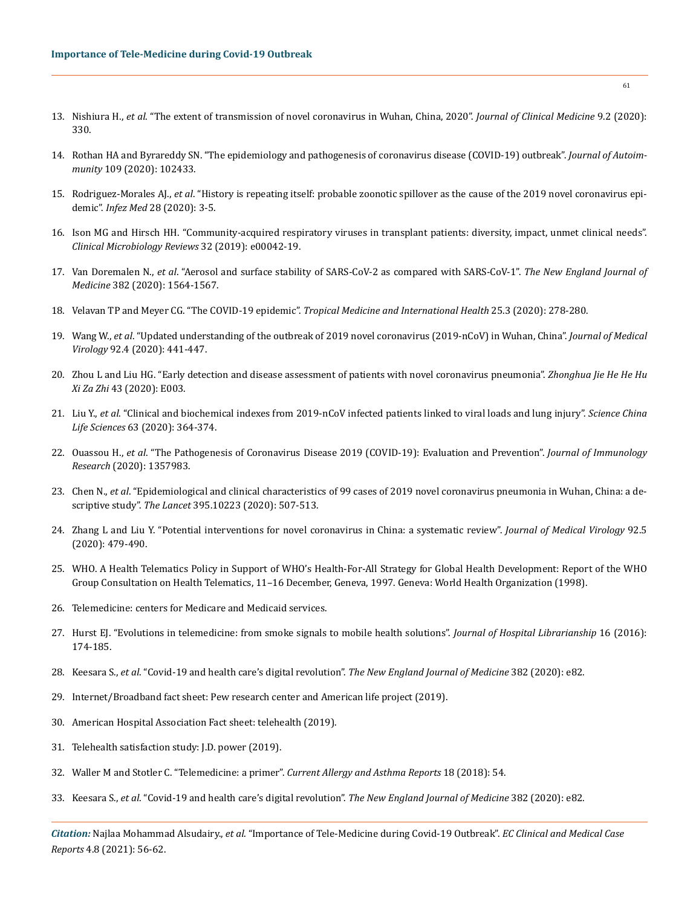- 13. Nishiura H., *et al*[. "The extent of transmission of novel coronavirus in Wuhan, China, 2020".](https://pubmed.ncbi.nlm.nih.gov/31991628/) *Journal of Clinical Medicine* 9.2 (2020): [330.](https://pubmed.ncbi.nlm.nih.gov/31991628/)
- 14. [Rothan HA and Byrareddy SN. "The epidemiology and pathogenesis of coronavirus disease \(COVID-19\) outbreak".](https://pubmed.ncbi.nlm.nih.gov/32113704/) *Journal of Autoimmunity* [109 \(2020\): 102433.](https://pubmed.ncbi.nlm.nih.gov/32113704/)
- 15. Rodriguez-Morales AJ., *et al*[. "History is repeating itself: probable zoonotic spillover as the cause of the 2019 novel coronavirus epi](https://www.researchgate.net/publication/338934614_History_is_repeating_itself_a_probable_zoonotic_spillover_as_a_cause_of_an_epidemic_the_case_of_2019_novel_Coronavirus)demic". *Infez Med* [28 \(2020\): 3-5.](https://www.researchgate.net/publication/338934614_History_is_repeating_itself_a_probable_zoonotic_spillover_as_a_cause_of_an_epidemic_the_case_of_2019_novel_Coronavirus)
- 16. [Ison MG and Hirsch HH. "Community-acquired respiratory viruses in transplant patients: diversity, impact, unmet clinical needs".](https://journals.asm.org/doi/full/10.1128/CMR.00042-19)  *[Clinical Microbiology Reviews](https://journals.asm.org/doi/full/10.1128/CMR.00042-19)* 32 (2019): e00042-19.
- 17. Van Doremalen N., *et al*[. "Aerosol and surface stability of SARS-CoV-2 as compared with SARS-CoV-1".](https://www.nejm.org/doi/full/10.1056/nejmc2004973) *The New England Journal of Medicine* [382 \(2020\): 1564-1567.](https://www.nejm.org/doi/full/10.1056/nejmc2004973)
- 18. [Velavan TP and Meyer CG. "The COVID-19 epidemic".](https://pubmed.ncbi.nlm.nih.gov/32052514/) *Tropical Medicine and International Health* 25.3 (2020): 278-280.
- 19. Wang W., *et al*[. "Updated understanding of the outbreak of 2019 novel coronavirus \(2019-nCoV\) in Wuhan, China".](https://pubmed.ncbi.nlm.nih.gov/31994742/) *Journal of Medical Virology* [92.4 \(2020\): 441-447.](https://pubmed.ncbi.nlm.nih.gov/31994742/)
- 20. [Zhou L and Liu HG. "Early detection and disease assessment of patients with novel coronavirus pneumonia".](https://pubmed.ncbi.nlm.nih.gov/32023686/) *Zhonghua Jie He He Hu Xi Za Zhi* [43 \(2020\): E003.](https://pubmed.ncbi.nlm.nih.gov/32023686/)
- 21. Liu Y., *et al*[. "Clinical and biochemical indexes from 2019-nCoV infected patients linked to viral loads and lung injury".](https://pubmed.ncbi.nlm.nih.gov/32048163/) *Science China Life Sciences* [63 \(2020\): 364-374.](https://pubmed.ncbi.nlm.nih.gov/32048163/)
- 22. Ouassou H., *et al*[. "The Pathogenesis of Coronavirus Disease 2019 \(COVID-19\): Evaluation and Prevention".](https://www.hindawi.com/journals/jir/2020/1357983/) *Journal of Immunology Research* [\(2020\): 1357983.](https://www.hindawi.com/journals/jir/2020/1357983/)
- 23. Chen N., *et al*[. "Epidemiological and clinical characteristics of 99 cases of 2019 novel coronavirus pneumonia in Wuhan, China: a de](https://pubmed.ncbi.nlm.nih.gov/32007143/)scriptive study". *The Lancet* [395.10223 \(2020\): 507-513.](https://pubmed.ncbi.nlm.nih.gov/32007143/)
- 24. [Zhang L and Liu Y. "Potential interventions for novel coronavirus in China: a systematic review".](https://pubmed.ncbi.nlm.nih.gov/32052466/) *Journal of Medical Virology* 92.5 [\(2020\): 479-490.](https://pubmed.ncbi.nlm.nih.gov/32052466/)
- 25. [WHO. A Health Telematics Policy in Support of WHO's Health-For-All Strategy for Global Health Development: Report of the WHO](https://apps.who.int/iris/handle/10665/63857)  [Group Consultation on Health Telematics, 11–16 December, Geneva, 1997. Geneva: World Health Organization \(1998\).](https://apps.who.int/iris/handle/10665/63857)
- 26. Telemedicine: centers for Medicare and Medicaid services.
- 27. [Hurst EJ. "Evolutions in telemedicine: from smoke signals to mobile health solutions".](https://www.tandfonline.com/doi/abs/10.1080/15323269.2016.1150750?journalCode=whos20) *Journal of Hospital Librarianship* 16 (2016): [174-185.](https://www.tandfonline.com/doi/abs/10.1080/15323269.2016.1150750?journalCode=whos20)
- 28. Keesara S., *et al*[. "Covid-19 and health care's digital revolution".](https://www.nejm.org/doi/full/10.1056/NEJMp2005835) *The New England Journal of Medicine* 382 (2020): e82.
- 29. Internet/Broadband fact sheet: Pew research center and American life project (2019).
- 30. American Hospital Association Fact sheet: telehealth (2019).
- 31. Telehealth satisfaction study: J.D. power (2019).
- 32. [Waller M and Stotler C. "Telemedicine: a primer".](https://pubmed.ncbi.nlm.nih.gov/30145709/) *Current Allergy and Asthma Reports* 18 (2018): 54.
- 33. Keesara S., *et al*[. "Covid-19 and health care's digital revolution".](https://www.nejm.org/doi/full/10.1056/NEJMp2005835) *The New England Journal of Medicine* 382 (2020): e82.